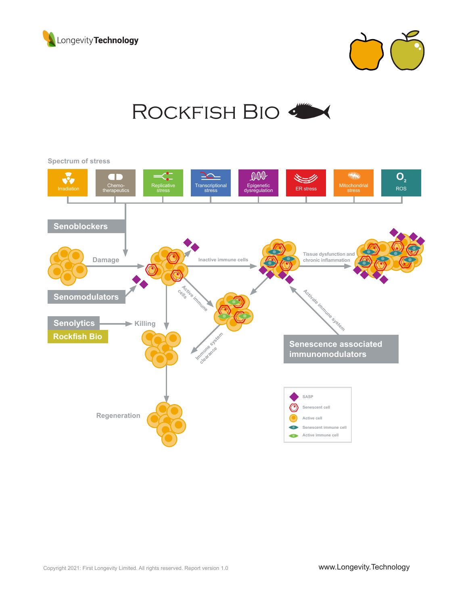



## ROCKFISH BIO

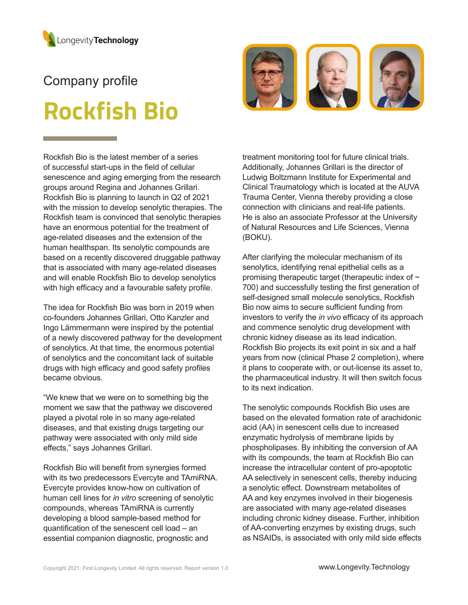

# Company profile **Rockfish Bio**





The idea for Rockfish Bio was born in 2019 when co-founders Johannes Grillari, Otto Kanzler and Ingo Lämmermann were inspired by the potential of a newly discovered pathway for the development of senolytics. At that time, the enormous potential of senolytics and the concomitant lack of suitable drugs with high efficacy and good safety profiles became obvious.

"We knew that we were on to something big the moment we saw that the pathway we discovered played a pivotal role in so many age-related diseases, and that existing drugs targeting our pathway were associated with only mild side effects," says Johannes Grillari.

Rockfish Bio will benefit from synergies formed with its two predecessors Evercyte and TAmiRNA. Evercyte provides know-how on cultivation of human cell lines for *in vitro* screening of senolytic compounds, whereas TAmiRNA is currently developing a blood sample-based method for quantification of the senescent cell load – an essential companion diagnostic, prognostic and

treatment monitoring tool for future clinical trials. Additionally, Johannes Grillari is the director of Ludwig Boltzmann Institute for Experimental and Clinical Traumatology which is located at the AUVA Trauma Center, Vienna thereby providing a close connection with clinicians and real-life patients. He is also an associate Professor at the University of Natural Resources and Life Sciences, Vienna (BOKU).

After clarifying the molecular mechanism of its senolytics, identifying renal epithelial cells as a promising therapeutic target (therapeutic index of  $\sim$ 700) and successfully testing the first generation of self-designed small molecule senolytics, Rockfish Bio now aims to secure sufficient funding from investors to verify the *in vivo* efficacy of its approach and commence senolytic drug development with chronic kidney disease as its lead indication. Rockfish Bio projects its exit point in six and a half years from now (clinical Phase 2 completion), where it plans to cooperate with, or out-license its asset to, the pharmaceutical industry. It will then switch focus to its next indication.

The senolytic compounds Rockfish Bio uses are based on the elevated formation rate of arachidonic acid (AA) in senescent cells due to increased enzymatic hydrolysis of membrane lipids by phospholipases. By inhibiting the conversion of AA with its compounds, the team at Rockfish Bio can increase the intracellular content of pro-apoptotic AA selectively in senescent cells, thereby inducing a senolytic effect. Downstream metabolites of AA and key enzymes involved in their biogenesis are associated with many age-related diseases including chronic kidney disease. Further, inhibition of AA-converting enzymes by existing drugs, such as NSAIDs, is associated with only mild side effects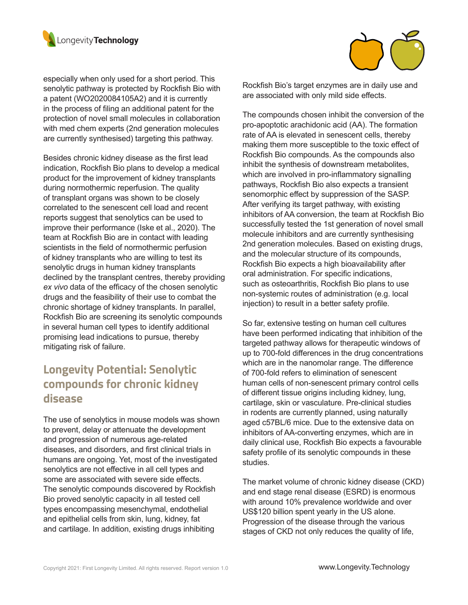

especially when only used for a short period. This senolytic pathway is protected by Rockfish Bio with a patent (WO2020084105A2) and it is currently in the process of filing an additional patent for the protection of novel small molecules in collaboration with med chem experts (2nd generation molecules are currently synthesised) targeting this pathway.

Besides chronic kidney disease as the first lead indication, Rockfish Bio plans to develop a medical product for the improvement of kidney transplants during normothermic reperfusion. The quality of transplant organs was shown to be closely correlated to the senescent cell load and recent reports suggest that senolytics can be used to improve their performance (Iske et al., 2020). The team at Rockfish Bio are in contact with leading scientists in the field of normothermic perfusion of kidney transplants who are willing to test its senolytic drugs in human kidney transplants declined by the transplant centres, thereby providing *ex vivo* data of the efficacy of the chosen senolytic drugs and the feasibility of their use to combat the chronic shortage of kidney transplants. In parallel, Rockfish Bio are screening its senolytic compounds in several human cell types to identify additional promising lead indications to pursue, thereby mitigating risk of failure.

## **Longevity Potential: Senolytic compounds for chronic kidney disease**

The use of senolytics in mouse models was shown to prevent, delay or attenuate the development and progression of numerous age-related diseases, and disorders, and first clinical trials in humans are ongoing. Yet, most of the investigated senolytics are not effective in all cell types and some are associated with severe side effects. The senolytic compounds discovered by Rockfish Bio proved senolytic capacity in all tested cell types encompassing mesenchymal, endothelial and epithelial cells from skin, lung, kidney, fat and cartilage. In addition, existing drugs inhibiting



The compounds chosen inhibit the conversion of the pro-apoptotic arachidonic acid (AA). The formation rate of AA is elevated in senescent cells, thereby making them more susceptible to the toxic effect of Rockfish Bio compounds. As the compounds also inhibit the synthesis of downstream metabolites, which are involved in pro-inflammatory signalling pathways, Rockfish Bio also expects a transient senomorphic effect by suppression of the SASP. After verifying its target pathway, with existing inhibitors of AA conversion, the team at Rockfish Bio successfully tested the 1st generation of novel small molecule inhibitors and are currently synthesising 2nd generation molecules. Based on existing drugs, and the molecular structure of its compounds, Rockfish Bio expects a high bioavailability after oral administration. For specific indications, such as osteoarthritis, Rockfish Bio plans to use non-systemic routes of administration (e.g. local injection) to result in a better safety profile.

So far, extensive testing on human cell cultures have been performed indicating that inhibition of the targeted pathway allows for therapeutic windows of up to 700-fold differences in the drug concentrations which are in the nanomolar range. The difference of 700-fold refers to elimination of senescent human cells of non-senescent primary control cells of different tissue origins including kidney, lung, cartilage, skin or vasculature. Pre-clinical studies in rodents are currently planned, using naturally aged c57BL/6 mice. Due to the extensive data on inhibitors of AA-converting enzymes, which are in daily clinical use, Rockfish Bio expects a favourable safety profile of its senolytic compounds in these studies.

The market volume of chronic kidney disease (CKD) and end stage renal disease (ESRD) is enormous with around 10% prevalence worldwide and over US\$120 billion spent yearly in the US alone. Progression of the disease through the various stages of CKD not only reduces the quality of life,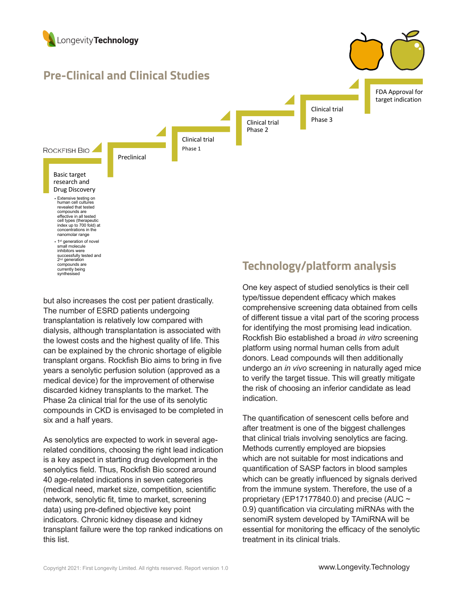

but also increases the cost per patient drastically. The number of ESRD patients undergoing transplantation is relatively low compared with dialysis, although transplantation is associated with the lowest costs and the highest quality of life. This can be explained by the chronic shortage of eligible transplant organs. Rockfish Bio aims to bring in five years a senolytic perfusion solution (approved as a medical device) for the improvement of otherwise discarded kidney transplants to the market. The Phase 2a clinical trial for the use of its senolytic compounds in CKD is envisaged to be completed in six and a half years.

As senolytics are expected to work in several agerelated conditions, choosing the right lead indication is a key aspect in starting drug development in the senolytics field. Thus, Rockfish Bio scored around 40 age-related indications in seven categories (medical need, market size, competition, scientific network, senolytic fit, time to market, screening data) using pre-defined objective key point indicators. Chronic kidney disease and kidney transplant failure were the top ranked indications on this list.

One key aspect of studied senolytics is their cell type/tissue dependent efficacy which makes comprehensive screening data obtained from cells of different tissue a vital part of the scoring process for identifying the most promising lead indication. Rockfish Bio established a broad *in vitro* screening platform using normal human cells from adult donors. Lead compounds will then additionally undergo an *in vivo* screening in naturally aged mice to verify the target tissue. This will greatly mitigate the risk of choosing an inferior candidate as lead indication.

The quantification of senescent cells before and after treatment is one of the biggest challenges that clinical trials involving senolytics are facing. Methods currently employed are biopsies which are not suitable for most indications and quantification of SASP factors in blood samples which can be greatly influenced by signals derived from the immune system. Therefore, the use of a proprietary (EP17177840.0) and precise (AUC  $\sim$ 0.9) quantification via circulating miRNAs with the senomiR system developed by TAmiRNA will be essential for monitoring the efficacy of the senolytic treatment in its clinical trials.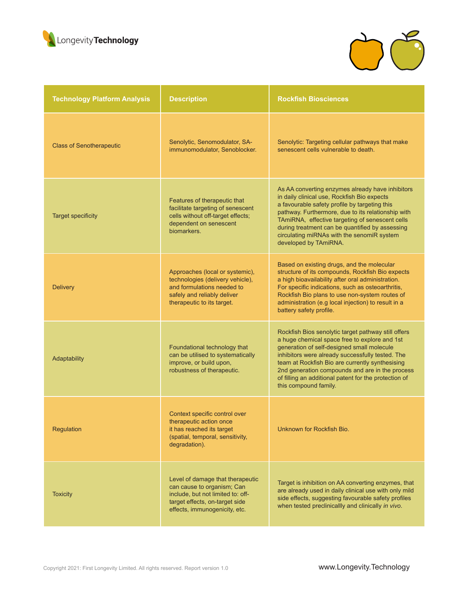



| <b>Technology Platform Analysis</b> | <b>Description</b>                                                                                                                                                     | <b>Rockfish Biosciences</b>                                                                                                                                                                                                                                                                                                                                                                    |
|-------------------------------------|------------------------------------------------------------------------------------------------------------------------------------------------------------------------|------------------------------------------------------------------------------------------------------------------------------------------------------------------------------------------------------------------------------------------------------------------------------------------------------------------------------------------------------------------------------------------------|
| <b>Class of Senotherapeutic</b>     | Senolytic, Senomodulator, SA-<br>immunomodulator, Senoblocker.                                                                                                         | Senolytic: Targeting cellular pathways that make<br>senescent cells vulnerable to death.                                                                                                                                                                                                                                                                                                       |
| <b>Target specificity</b>           | Features of therapeutic that<br>facilitate targeting of senescent<br>cells without off-target effects;<br>dependent on senescent<br>biomarkers.                        | As AA converting enzymes already have inhibitors<br>in daily clinical use, Rockfish Bio expects<br>a favourable safety profile by targeting this<br>pathway. Furthermore, due to its relationship with<br>TAmiRNA, effective targeting of senescent cells<br>during treatment can be quantified by assessing<br>circulating miRNAs with the senomiR system<br>developed by TAmiRNA.            |
| <b>Delivery</b>                     | Approaches (local or systemic),<br>technologies (delivery vehicle),<br>and formulations needed to<br>safely and reliably deliver<br>therapeutic to its target.         | Based on existing drugs, and the molecular<br>structure of its compounds, Rockfish Bio expects<br>a high bioavailability after oral administration.<br>For specific indications, such as osteoarthritis,<br>Rockfish Bio plans to use non-system routes of<br>administration (e.g local injection) to result in a<br>battery safety profile.                                                   |
| Adaptability                        | Foundational technology that<br>can be utilised to systematically<br>improve, or build upon,<br>robustness of therapeutic.                                             | Rockfish Bios senolytic target pathway still offers<br>a huge chemical space free to explore and 1st<br>generation of self-designed small molecule<br>inhibitors were already successfully tested. The<br>team at Rockfish Bio are currently synthesising<br>2nd generation compounds and are in the process<br>of filling an additional patent for the protection of<br>this compound family. |
| Regulation                          | Context specific control over<br>therapeutic action once<br>it has reached its target<br>(spatial, temporal, sensitivity,<br>degradation).                             | Unknown for Rockfish Bio.                                                                                                                                                                                                                                                                                                                                                                      |
| <b>Toxicity</b>                     | Level of damage that therapeutic<br>can cause to organism; Can<br>include, but not limited to: off-<br>target effects, on-target side<br>effects, immunogenicity, etc. | Target is inhibition on AA converting enzymes, that<br>are already used in daily clinical use with only mild<br>side effects, suggesting favourable safety profiles<br>when tested preclinicallly and clinically in vivo.                                                                                                                                                                      |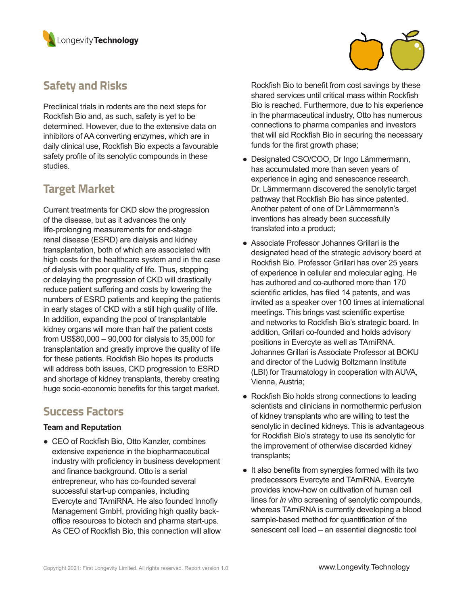



Preclinical trials in rodents are the next steps for Rockfish Bio and, as such, safety is yet to be determined. However, due to the extensive data on inhibitors of AA converting enzymes, which are in daily clinical use, Rockfish Bio expects a favourable safety profile of its senolytic compounds in these studies.

## **Target Market**

Current treatments for CKD slow the progression of the disease, but as it advances the only life-prolonging measurements for end-stage renal disease (ESRD) are dialysis and kidney transplantation, both of which are associated with high costs for the healthcare system and in the case of dialysis with poor quality of life. Thus, stopping or delaying the progression of CKD will drastically reduce patient suffering and costs by lowering the numbers of ESRD patients and keeping the patients in early stages of CKD with a still high quality of life. In addition, expanding the pool of transplantable kidney organs will more than half the patient costs from US\$80,000 – 90,000 for dialysis to 35,000 for transplantation and greatly improve the quality of life for these patients. Rockfish Bio hopes its products will address both issues, CKD progression to ESRD and shortage of kidney transplants, thereby creating huge socio-economic benefits for this target market.

### **Success Factors**

#### **Team and Reputation**

• CEO of Rockfish Bio, Otto Kanzler, combines extensive experience in the biopharmaceutical industry with proficiency in business development and finance background. Otto is a serial entrepreneur, who has co-founded several successful start-up companies, including Evercyte and TAmiRNA. He also founded Innofly Management GmbH, providing high quality backoffice resources to biotech and pharma start-ups. As CEO of Rockfish Bio, this connection will allow Rockfish Bio to benefit from cost savings by these shared services until critical mass within Rockfish Bio is reached. Furthermore, due to his experience in the pharmaceutical industry, Otto has numerous connections to pharma companies and investors that will aid Rockfish Bio in securing the necessary funds for the first growth phase;

- Designated CSO/COO, Dr Ingo Lämmermann, has accumulated more than seven years of experience in aging and senescence research. Dr. Lämmermann discovered the senolytic target pathway that Rockfish Bio has since patented. Another patent of one of Dr Lämmermann's inventions has already been successfully translated into a product;
- Associate Professor Johannes Grillari is the designated head of the strategic advisory board at Rockfish Bio. Professor Grillari has over 25 years of experience in cellular and molecular aging. He has authored and co-authored more than 170 scientific articles, has filed 14 patents, and was invited as a speaker over 100 times at international meetings. This brings vast scientific expertise and networks to Rockfish Bio's strategic board. In addition, Grillari co-founded and holds advisory positions in Evercyte as well as TAmiRNA. Johannes Grillari is Associate Professor at BOKU and director of the Ludwig Boltzmann Institute (LBI) for Traumatology in cooperation with AUVA, Vienna, Austria;
- Rockfish Bio holds strong connections to leading scientists and clinicians in normothermic perfusion of kidney transplants who are willing to test the senolytic in declined kidneys. This is advantageous for Rockfish Bio's strategy to use its senolytic for the improvement of otherwise discarded kidney transplants;
- It also benefits from synergies formed with its two predecessors Evercyte and TAmiRNA. Evercyte provides know-how on cultivation of human cell lines for *in vitro* screening of senolytic compounds, whereas TAmiRNA is currently developing a blood sample-based method for quantification of the senescent cell load – an essential diagnostic tool